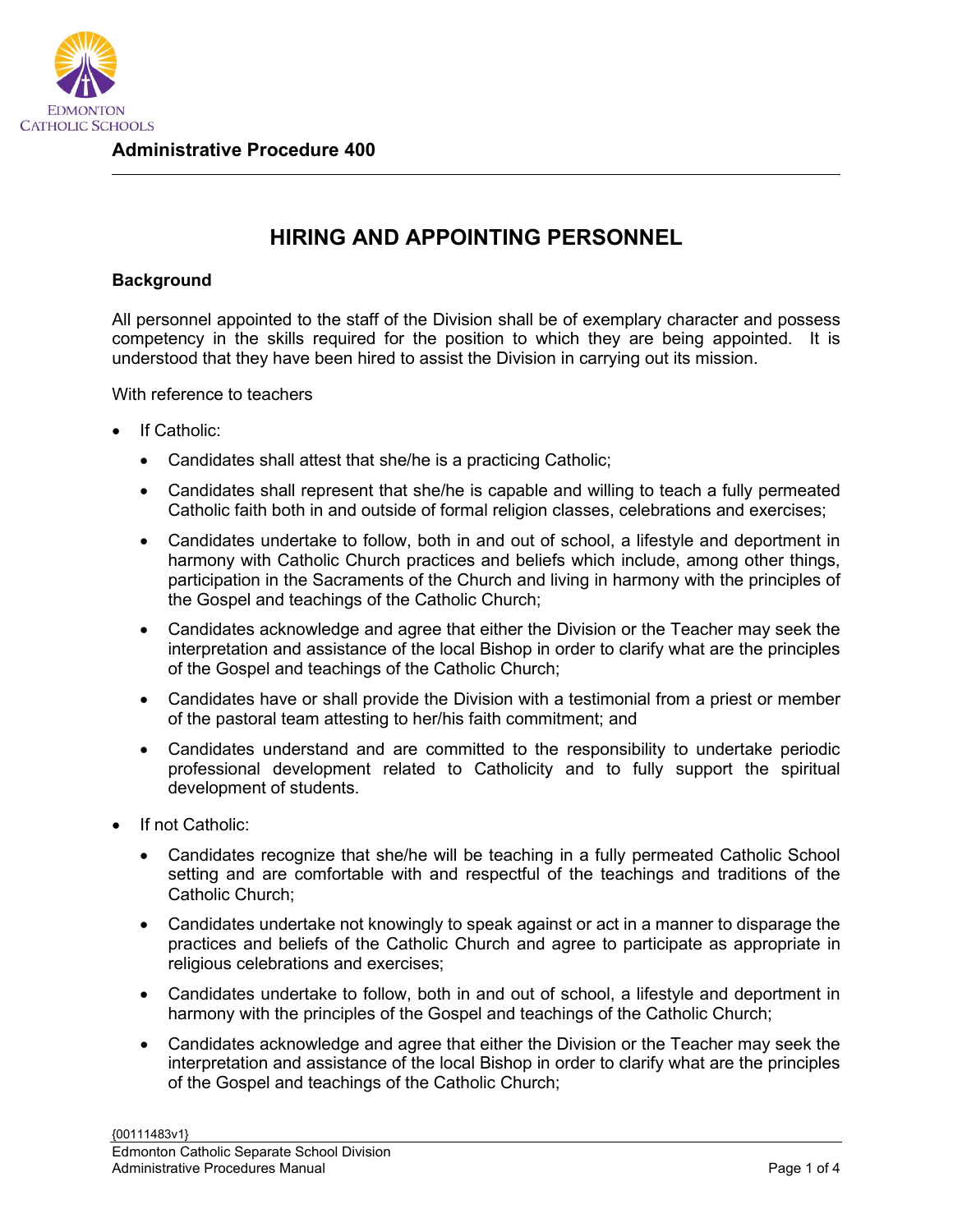

## **HIRING AND APPOINTING PERSONNEL**

## **Background**

All personnel appointed to the staff of the Division shall be of exemplary character and possess competency in the skills required for the position to which they are being appointed. It is understood that they have been hired to assist the Division in carrying out its mission.

With reference to teachers

- If Catholic:
	- Candidates shall attest that she/he is a practicing Catholic;
	- Candidates shall represent that she/he is capable and willing to teach a fully permeated Catholic faith both in and outside of formal religion classes, celebrations and exercises;
	- Candidates undertake to follow, both in and out of school, a lifestyle and deportment in harmony with Catholic Church practices and beliefs which include, among other things, participation in the Sacraments of the Church and living in harmony with the principles of the Gospel and teachings of the Catholic Church;
	- Candidates acknowledge and agree that either the Division or the Teacher may seek the interpretation and assistance of the local Bishop in order to clarify what are the principles of the Gospel and teachings of the Catholic Church;
	- Candidates have or shall provide the Division with a testimonial from a priest or member of the pastoral team attesting to her/his faith commitment; and
	- Candidates understand and are committed to the responsibility to undertake periodic professional development related to Catholicity and to fully support the spiritual development of students.
- If not Catholic:
	- Candidates recognize that she/he will be teaching in a fully permeated Catholic School setting and are comfortable with and respectful of the teachings and traditions of the Catholic Church;
	- Candidates undertake not knowingly to speak against or act in a manner to disparage the practices and beliefs of the Catholic Church and agree to participate as appropriate in religious celebrations and exercises;
	- Candidates undertake to follow, both in and out of school, a lifestyle and deportment in harmony with the principles of the Gospel and teachings of the Catholic Church;
	- Candidates acknowledge and agree that either the Division or the Teacher may seek the interpretation and assistance of the local Bishop in order to clarify what are the principles of the Gospel and teachings of the Catholic Church;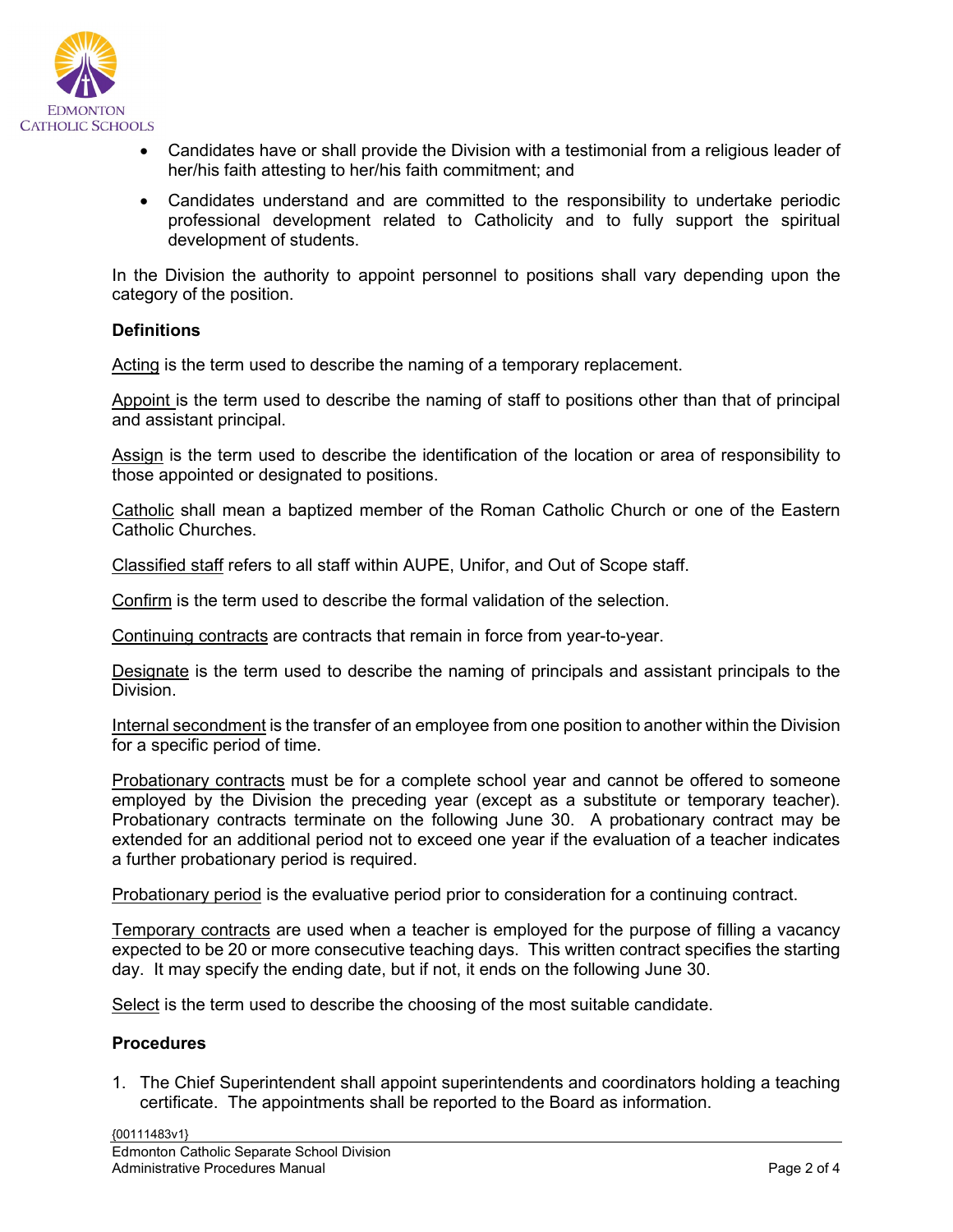

- Candidates have or shall provide the Division with a testimonial from a religious leader of her/his faith attesting to her/his faith commitment; and
- Candidates understand and are committed to the responsibility to undertake periodic professional development related to Catholicity and to fully support the spiritual development of students.

In the Division the authority to appoint personnel to positions shall vary depending upon the category of the position.

## **Definitions**

Acting is the term used to describe the naming of a temporary replacement.

Appoint is the term used to describe the naming of staff to positions other than that of principal and assistant principal.

Assign is the term used to describe the identification of the location or area of responsibility to those appointed or designated to positions.

Catholic shall mean a baptized member of the Roman Catholic Church or one of the Eastern Catholic Churches.

Classified staff refers to all staff within AUPE, Unifor, and Out of Scope staff.

Confirm is the term used to describe the formal validation of the selection.

Continuing contracts are contracts that remain in force from year-to-year.

Designate is the term used to describe the naming of principals and assistant principals to the Division.

Internal secondment is the transfer of an employee from one position to another within the Division for a specific period of time.

Probationary contracts must be for a complete school year and cannot be offered to someone employed by the Division the preceding year (except as a substitute or temporary teacher). Probationary contracts terminate on the following June 30. A probationary contract may be extended for an additional period not to exceed one year if the evaluation of a teacher indicates a further probationary period is required.

Probationary period is the evaluative period prior to consideration for a continuing contract.

Temporary contracts are used when a teacher is employed for the purpose of filling a vacancy expected to be 20 or more consecutive teaching days. This written contract specifies the starting day. It may specify the ending date, but if not, it ends on the following June 30.

Select is the term used to describe the choosing of the most suitable candidate.

## **Procedures**

1. The Chief Superintendent shall appoint superintendents and coordinators holding a teaching certificate. The appointments shall be reported to the Board as information.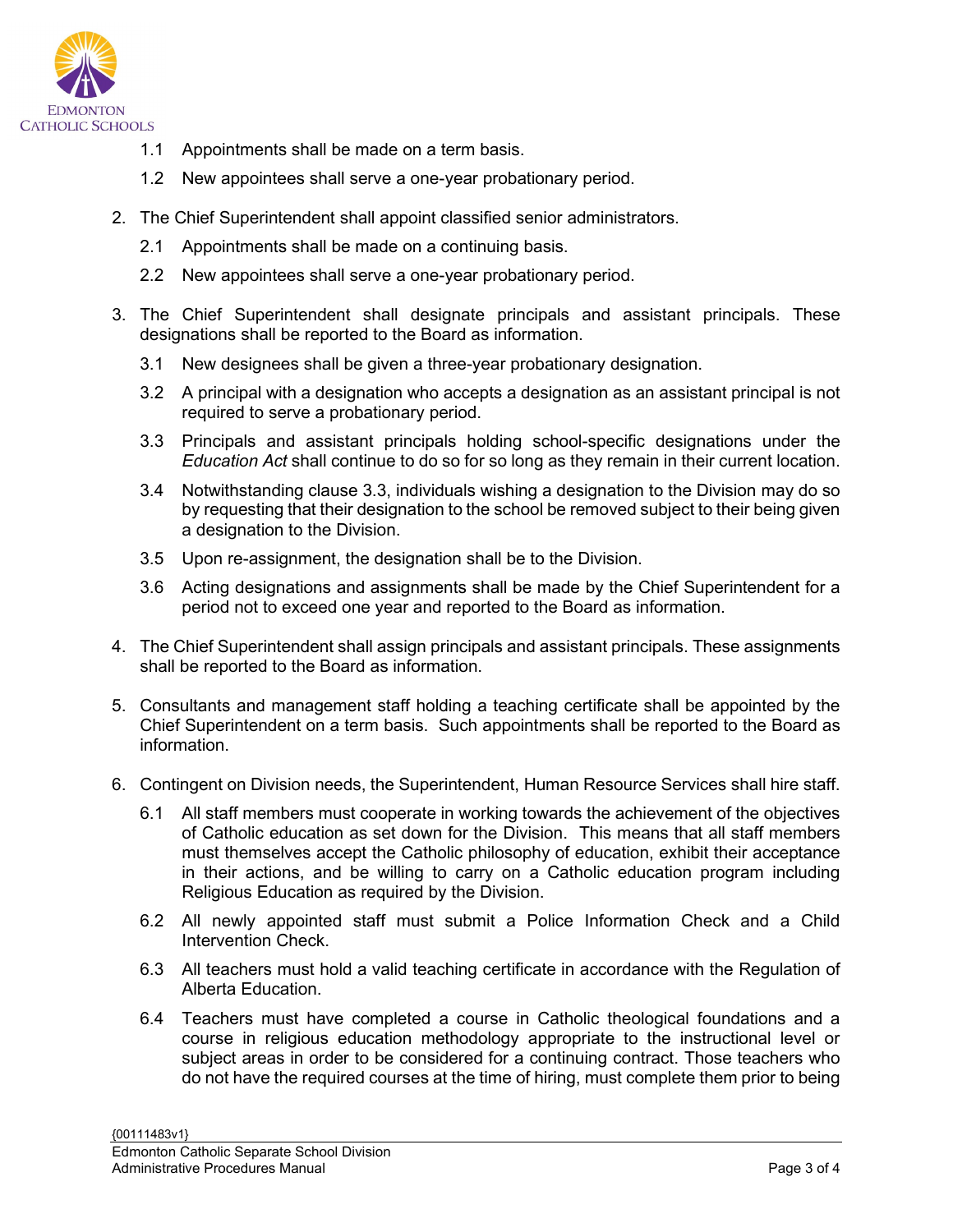

- 1.1 Appointments shall be made on a term basis.
- 1.2 New appointees shall serve a one-year probationary period.
- 2. The Chief Superintendent shall appoint classified senior administrators.
	- 2.1 Appointments shall be made on a continuing basis.
	- 2.2 New appointees shall serve a one-year probationary period.
- 3. The Chief Superintendent shall designate principals and assistant principals. These designations shall be reported to the Board as information.
	- 3.1 New designees shall be given a three-year probationary designation.
	- 3.2 A principal with a designation who accepts a designation as an assistant principal is not required to serve a probationary period.
	- 3.3 Principals and assistant principals holding school-specific designations under the *Education Act* shall continue to do so for so long as they remain in their current location.
	- 3.4 Notwithstanding clause 3.3, individuals wishing a designation to the Division may do so by requesting that their designation to the school be removed subject to their being given a designation to the Division.
	- 3.5 Upon re-assignment, the designation shall be to the Division.
	- 3.6 Acting designations and assignments shall be made by the Chief Superintendent for a period not to exceed one year and reported to the Board as information.
- 4. The Chief Superintendent shall assign principals and assistant principals. These assignments shall be reported to the Board as information.
- 5. Consultants and management staff holding a teaching certificate shall be appointed by the Chief Superintendent on a term basis. Such appointments shall be reported to the Board as information.
- 6. Contingent on Division needs, the Superintendent, Human Resource Services shall hire staff.
	- 6.1 All staff members must cooperate in working towards the achievement of the objectives of Catholic education as set down for the Division. This means that all staff members must themselves accept the Catholic philosophy of education, exhibit their acceptance in their actions, and be willing to carry on a Catholic education program including Religious Education as required by the Division.
	- 6.2 All newly appointed staff must submit a Police Information Check and a Child Intervention Check.
	- 6.3 All teachers must hold a valid teaching certificate in accordance with the Regulation of Alberta Education.
	- 6.4 Teachers must have completed a course in Catholic theological foundations and a course in religious education methodology appropriate to the instructional level or subject areas in order to be considered for a continuing contract. Those teachers who do not have the required courses at the time of hiring, must complete them prior to being